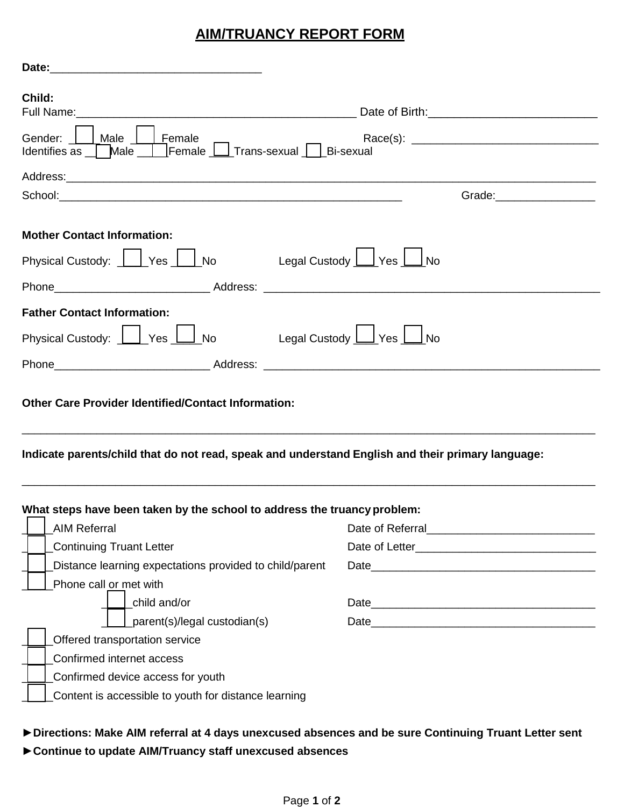## **AIM/TRUANCY REPORT FORM**

| Child:                                                                                                                                |                               |
|---------------------------------------------------------------------------------------------------------------------------------------|-------------------------------|
| Gender:     Male     Female                                                                                                           |                               |
|                                                                                                                                       |                               |
|                                                                                                                                       | Grade: ______________________ |
| <b>Mother Contact Information:</b>                                                                                                    |                               |
| Physical Custody: <u>    Yes</u>   No                                                                                                 | Legal Custody Les Laino       |
|                                                                                                                                       |                               |
| <b>Father Contact Information:</b>                                                                                                    |                               |
| Physical Custody: $\boxed{\phantom{a}}$ Yes $\boxed{\phantom{a}}$ No Legal Custody $\boxed{\phantom{a}}$ Yes $\boxed{\phantom{a}}$ No |                               |
|                                                                                                                                       |                               |
|                                                                                                                                       |                               |
| <b>Other Care Provider Identified/Contact Information:</b>                                                                            |                               |
| Indicate parents/child that do not read, speak and understand English and their primary language:                                     |                               |
|                                                                                                                                       |                               |
| <b>AIM Referral</b>                                                                                                                   |                               |
| <b>Continuing Truant Letter</b>                                                                                                       |                               |
| What steps have been taken by the school to address the truancy problem:<br>Distance learning expectations provided to child/parent   |                               |
| Phone call or met with                                                                                                                |                               |
| child and/or                                                                                                                          |                               |
| parent(s)/legal custodian(s)                                                                                                          |                               |
| <b>Offered transportation service</b>                                                                                                 |                               |
| Confirmed internet access                                                                                                             |                               |
| Confirmed device access for youth                                                                                                     |                               |

# **►Directions: Make AIM referral at 4 days unexcused absences and be sure Continuing Truant Letter sent**

### **►Continue to update AIM/Truancy staff unexcused absences**